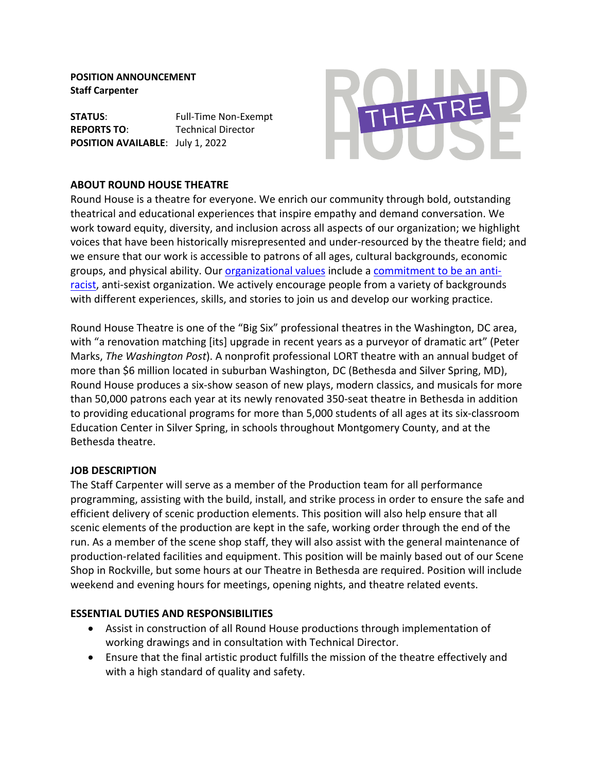**POSITION ANNOUNCEMENT Staff Carpenter**

**STATUS:** Full-Time Non-Exempt **REPORTS TO:** Technical Director **POSITION AVAILABLE**: July 1, 2022



### **ABOUT ROUND HOUSE THEATRE**

Round House is a theatre for everyone. We enrich our community through bold, outstanding theatrical and educational experiences that inspire empathy and demand conversation. We work toward equity, diversity, and inclusion across all aspects of our organization; we highlight voices that have been historically misrepresented and under-resourced by the theatre field; and we ensure that our work is accessible to patrons of all ages, cultural backgrounds, economic groups, and physical ability. Our organizational values include a commitment to be an antiracist, anti-sexist organization. We actively encourage people from a variety of backgrounds with different experiences, skills, and stories to join us and develop our working practice.

Round House Theatre is one of the "Big Six" professional theatres in the Washington, DC area, with "a renovation matching [its] upgrade in recent years as a purveyor of dramatic art" (Peter Marks, *The Washington Post*). A nonprofit professional LORT theatre with an annual budget of more than \$6 million located in suburban Washington, DC (Bethesda and Silver Spring, MD), Round House produces a six-show season of new plays, modern classics, and musicals for more than 50,000 patrons each year at its newly renovated 350-seat theatre in Bethesda in addition to providing educational programs for more than 5,000 students of all ages at its six-classroom Education Center in Silver Spring, in schools throughout Montgomery County, and at the Bethesda theatre.

### **JOB DESCRIPTION**

The Staff Carpenter will serve as a member of the Production team for all performance programming, assisting with the build, install, and strike process in order to ensure the safe and efficient delivery of scenic production elements. This position will also help ensure that all scenic elements of the production are kept in the safe, working order through the end of the run. As a member of the scene shop staff, they will also assist with the general maintenance of production-related facilities and equipment. This position will be mainly based out of our Scene Shop in Rockville, but some hours at our Theatre in Bethesda are required. Position will include weekend and evening hours for meetings, opening nights, and theatre related events.

### **ESSENTIAL DUTIES AND RESPONSIBILITIES**

- Assist in construction of all Round House productions through implementation of working drawings and in consultation with Technical Director.
- Ensure that the final artistic product fulfills the mission of the theatre effectively and with a high standard of quality and safety.